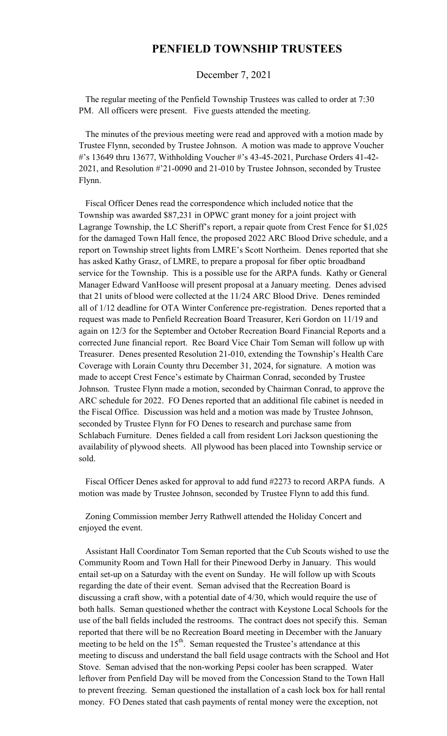## **PENFIELD TOWNSHIP TRUSTEES**

## December 7, 2021

 The regular meeting of the Penfield Township Trustees was called to order at 7:30 PM. All officers were present. Five guests attended the meeting.

 The minutes of the previous meeting were read and approved with a motion made by Trustee Flynn, seconded by Trustee Johnson. A motion was made to approve Voucher #'s 13649 thru 13677, Withholding Voucher #'s 43-45-2021, Purchase Orders 41-42- 2021, and Resolution #'21-0090 and 21-010 by Trustee Johnson, seconded by Trustee Flynn.

 Fiscal Officer Denes read the correspondence which included notice that the Township was awarded \$87,231 in OPWC grant money for a joint project with Lagrange Township, the LC Sheriff's report, a repair quote from Crest Fence for \$1,025 for the damaged Town Hall fence, the proposed 2022 ARC Blood Drive schedule, and a report on Township street lights from LMRE's Scott Northeim. Denes reported that she has asked Kathy Grasz, of LMRE, to prepare a proposal for fiber optic broadband service for the Township. This is a possible use for the ARPA funds. Kathy or General Manager Edward VanHoose will present proposal at a January meeting. Denes advised that 21 units of blood were collected at the 11/24 ARC Blood Drive. Denes reminded all of 1/12 deadline for OTA Winter Conference pre-registration. Denes reported that a request was made to Penfield Recreation Board Treasurer, Keri Gordon on 11/19 and again on 12/3 for the September and October Recreation Board Financial Reports and a corrected June financial report. Rec Board Vice Chair Tom Seman will follow up with Treasurer. Denes presented Resolution 21-010, extending the Township's Health Care Coverage with Lorain County thru December 31, 2024, for signature. A motion was made to accept Crest Fence's estimate by Chairman Conrad, seconded by Trustee Johnson. Trustee Flynn made a motion, seconded by Chairman Conrad, to approve the ARC schedule for 2022. FO Denes reported that an additional file cabinet is needed in the Fiscal Office. Discussion was held and a motion was made by Trustee Johnson, seconded by Trustee Flynn for FO Denes to research and purchase same from Schlabach Furniture. Denes fielded a call from resident Lori Jackson questioning the availability of plywood sheets. All plywood has been placed into Township service or sold.

 Fiscal Officer Denes asked for approval to add fund #2273 to record ARPA funds. A motion was made by Trustee Johnson, seconded by Trustee Flynn to add this fund.

 Zoning Commission member Jerry Rathwell attended the Holiday Concert and enjoyed the event.

 Assistant Hall Coordinator Tom Seman reported that the Cub Scouts wished to use the Community Room and Town Hall for their Pinewood Derby in January. This would entail set-up on a Saturday with the event on Sunday. He will follow up with Scouts regarding the date of their event. Seman advised that the Recreation Board is discussing a craft show, with a potential date of 4/30, which would require the use of both halls. Seman questioned whether the contract with Keystone Local Schools for the use of the ball fields included the restrooms. The contract does not specify this. Seman reported that there will be no Recreation Board meeting in December with the January meeting to be held on the  $15<sup>th</sup>$ . Seman requested the Trustee's attendance at this meeting to discuss and understand the ball field usage contracts with the School and Hot Stove. Seman advised that the non-working Pepsi cooler has been scrapped. Water leftover from Penfield Day will be moved from the Concession Stand to the Town Hall to prevent freezing. Seman questioned the installation of a cash lock box for hall rental money. FO Denes stated that cash payments of rental money were the exception, not